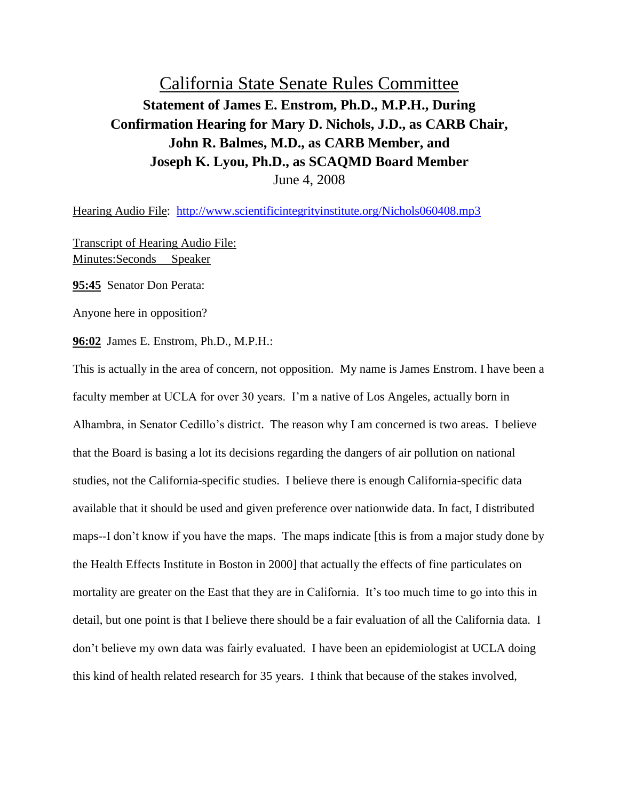## California State Senate Rules Committee **Statement of James E. Enstrom, Ph.D., M.P.H., During Confirmation Hearing for Mary D. Nichols, J.D., as CARB Chair, John R. Balmes, M.D., as CARB Member, and Joseph K. Lyou, Ph.D., as SCAQMD Board Member** June 4, 2008

Hearing Audio File: <http://www.scientificintegrityinstitute.org/Nichols060408.mp3>

Transcript of Hearing Audio File: Minutes:Seconds Speaker

**95:45** Senator Don Perata:

Anyone here in opposition?

**96:02** James E. Enstrom, Ph.D., M.P.H.:

This is actually in the area of concern, not opposition. My name is James Enstrom. I have been a faculty member at UCLA for over 30 years. I'm a native of Los Angeles, actually born in Alhambra, in Senator Cedillo's district. The reason why I am concerned is two areas. I believe that the Board is basing a lot its decisions regarding the dangers of air pollution on national studies, not the California-specific studies. I believe there is enough California-specific data available that it should be used and given preference over nationwide data. In fact, I distributed maps--I don't know if you have the maps. The maps indicate [this is from a major study done by the Health Effects Institute in Boston in 2000] that actually the effects of fine particulates on mortality are greater on the East that they are in California. It's too much time to go into this in detail, but one point is that I believe there should be a fair evaluation of all the California data. I don't believe my own data was fairly evaluated. I have been an epidemiologist at UCLA doing this kind of health related research for 35 years. I think that because of the stakes involved,